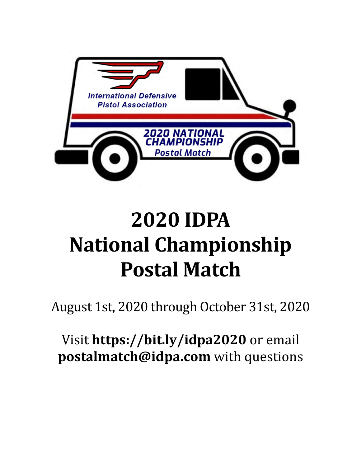

# **2020 IDPA National Championship Postal Match**

August 1st, 2020 through October 31st, 2020

Visit **https://bit.ly/idpa2020** or email **postalmatch@idpa.com** with questions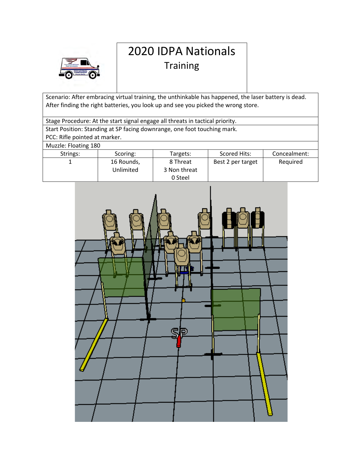

#### 2020 IDPA Nationals **Training**

Scenario: After embracing virtual training, the unthinkable has happened, the laser battery is dead. After finding the right batteries, you look up and see you picked the wrong store.

| Stage Procedure: At the start signal engage all threats in tactical priority. |            |              |                   |              |  |  |
|-------------------------------------------------------------------------------|------------|--------------|-------------------|--------------|--|--|
| Start Position: Standing at SP facing downrange, one foot touching mark.      |            |              |                   |              |  |  |
| PCC: Rifle pointed at marker.                                                 |            |              |                   |              |  |  |
| Muzzle: Floating 180                                                          |            |              |                   |              |  |  |
| Strings:                                                                      | Scoring:   | Targets:     | Scored Hits:      | Concealment: |  |  |
|                                                                               | 16 Rounds, | 8 Threat     | Best 2 per target | Required     |  |  |
|                                                                               | Unlimited  | 3 Non threat |                   |              |  |  |
|                                                                               |            | 0 Steel      |                   |              |  |  |

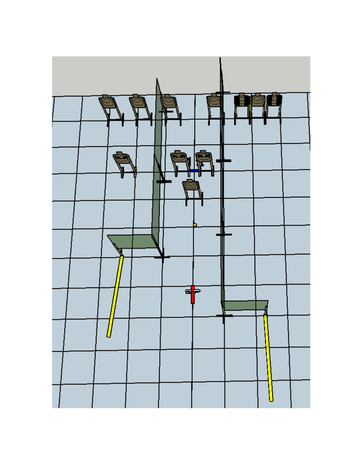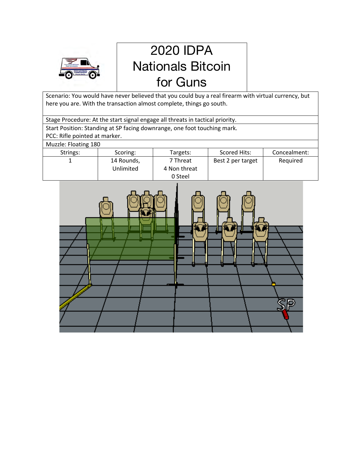

## 2020 IDPA Nationals Bitcoin for Guns

Scenario: You would have never believed that you could buy a real firearm with virtual currency, but here you are. With the transaction almost complete, things go south.

| Stage Procedure: At the start signal engage all threats in tactical priority. |            |              |                   |              |  |
|-------------------------------------------------------------------------------|------------|--------------|-------------------|--------------|--|
| Start Position: Standing at SP facing downrange, one foot touching mark.      |            |              |                   |              |  |
| PCC: Rifle pointed at marker.                                                 |            |              |                   |              |  |
| Muzzle: Floating 180                                                          |            |              |                   |              |  |
| Strings:                                                                      | Scoring:   | Targets:     | Scored Hits:      | Concealment: |  |
|                                                                               | 14 Rounds, | 7 Threat     | Best 2 per target | Required     |  |
|                                                                               | Unlimited  | 4 Non threat |                   |              |  |
| 0 Steel                                                                       |            |              |                   |              |  |

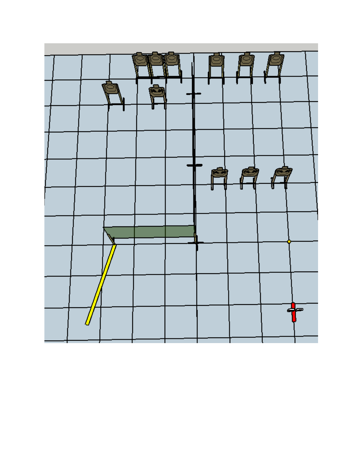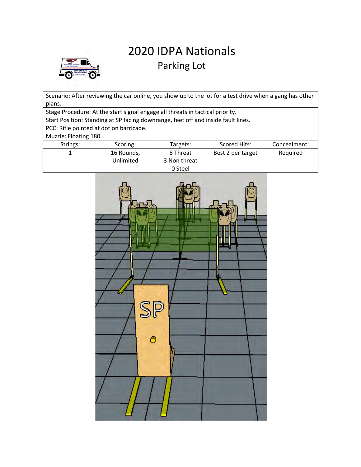#### 2020 IDPA Nationals Parking Lot

Scenario: After reviewing the car online, you show up to the lot for a test drive when a gang has other plans.

Stage Procedure: At the start signal engage all threats in tactical priority.

Start Position: Standing at SP facing downrange, feet off and inside fault lines.

PCC: Rifle pointed at dot on barricade.

| Strings: | Scoring:   | Targets:     | Scored Hits:      | Concealment: |
|----------|------------|--------------|-------------------|--------------|
|          | 16 Rounds, | 8 Threat     | Best 2 per target | Required     |
|          | Unlimited  | 3 Non threat |                   |              |
|          |            | 0 Steel      |                   |              |

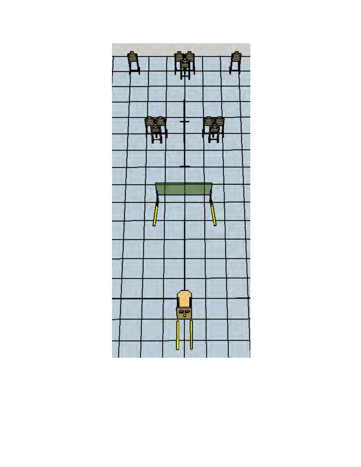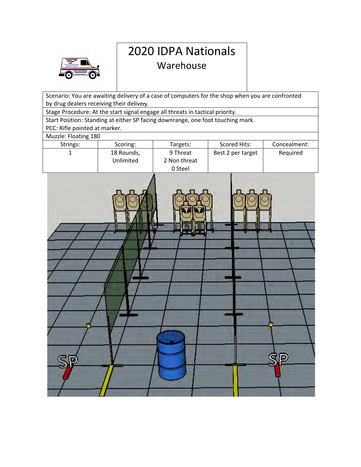#### 2020 IDPA Nationals Warehouse



Scenario: You are awaiting delivery of a case of computers for the shop when you are confronted by drug dealers receiving their delivery.

Stage Procedure: At the start signal engage all threats in tactical priority.

Start Position: Standing at either SP facing downrange, one foot touching mark. PCC: Rifle pointed at marker.

| 111022101110011118200 |            |              |                   |              |
|-----------------------|------------|--------------|-------------------|--------------|
| Strings:              | Scoring:   | Targets:     | Scored Hits:      | Concealment: |
|                       | 18 Rounds, | 9 Threat     | Best 2 per target | Required     |
|                       | Unlimited  | 2 Non threat |                   |              |
|                       |            | 0 Steel      |                   |              |

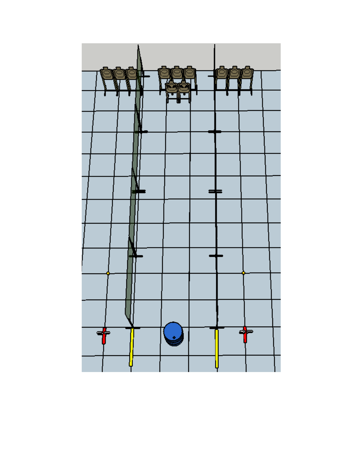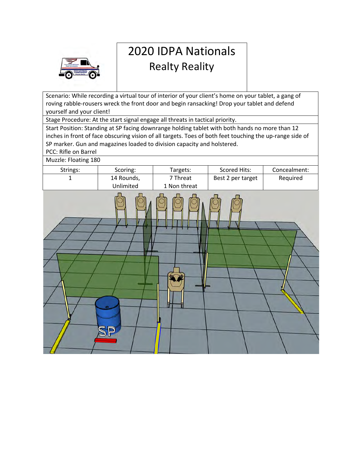

## 2020 IDPA Nationals Realty Reality

Scenario: While recording a virtual tour of interior of your client's home on your tablet, a gang of roving rabble-rousers wreck the front door and begin ransacking! Drop your tablet and defend yourself and your client!

Stage Procedure: At the start signal engage all threats in tactical priority.

Start Position: Standing at SP facing downrange holding tablet with both hands no more than 12 inches in front of face obscuring vision of all targets. Toes of both feet touching the up-range side of SP marker. Gun and magazines loaded to division capacity and holstered.

PCC: Rifle on Barrel

| Strings: | Scoring:   | Targets:     | Scored Hits:      | Concealment: |
|----------|------------|--------------|-------------------|--------------|
|          | 14 Rounds, | 7 Threat     | Best 2 per target | Reguired     |
|          | Unlimited  | 1 Non threat |                   |              |
|          |            |              |                   |              |

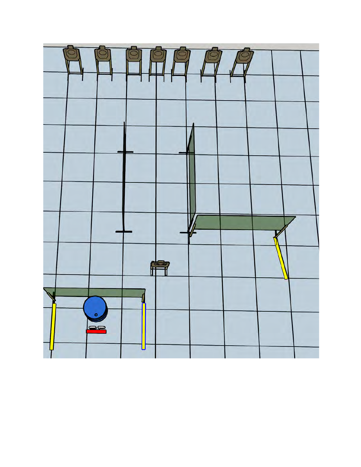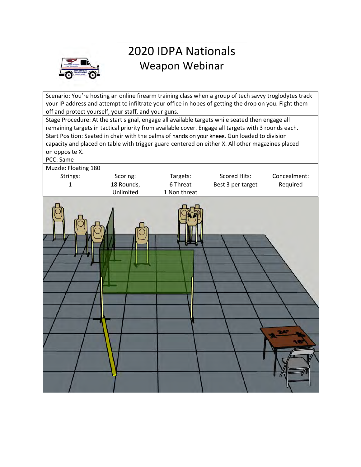

#### 2020 IDPA Nationals Weapon Webinar

Scenario: You're hosting an online firearm training class when a group of tech savvy troglodytes track your IP address and attempt to infiltrate your office in hopes of getting the drop on you. Fight them off and protect yourself, your staff, and your guns.

Stage Procedure: At the start signal, engage all available targets while seated then engage all remaining targets in tactical priority from available cover. Engage all targets with 3 rounds each.

Start Position: Seated in chair with the palms of hands on your knees. Gun loaded to division capacity and placed on table with trigger guard centered on either X. All other magazines placed on opposite X.

PCC: Same

| Strings: | Scoring:   | Targets:     | Scored Hits:      | Concealment: |
|----------|------------|--------------|-------------------|--------------|
|          | 18 Rounds, | 6 Threat     | Best 3 per target | Reguired     |
|          | Unlimited  | 1 Non threat |                   |              |